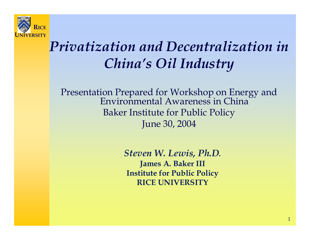

# *Privatization and Decentralization inChina's Oil Industry*

Presentation Prepared for Workshop on Energy and Environmental Awareness in ChinaBaker Institute for Public Policy June 30, 2004

> *Steven W. Lewis, Ph.D.* **James A. Baker III Institute for Public Policy RICE UNIVERSITY**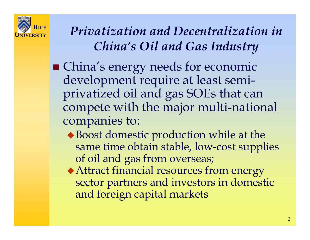

### *Privatization and Decentralization in China's Oil and Gas Industry*

- China's energy needs for economic development require at least semiprivatized oil and gas SOEs that can compete with the major multi-national companies to:
	- Boost domestic production while at the same time obtain stable, low-cost supplies of oil and gas from overseas;
	- Attract financial resources from energy sector partners and investors in domestic and foreign capital markets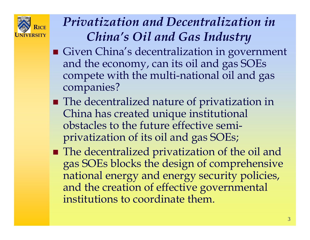

### *Privatization and Decentralization in China's Oil and Gas Industry*

- Given China's decentralization in government and the economy, can its oil and gas SOEs compete with the multi-national oil and gas companies?
- **The decentralized nature of privatization in** China has created unique institutional obstacles to the future effective semiprivatization of its oil and gas SOEs;
- The decentralized privatization of the oil and gas SOEs blocks the design of comprehensive national energy and energy security policies, and the creation of effective governmental institutions to coordinate them.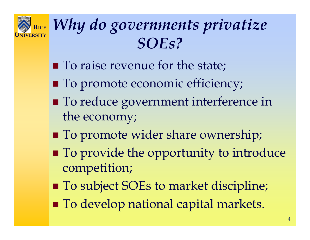

# *Why do governments privatize SOEs?*

- **To raise revenue for the state;**
- $\blacksquare$  To promote economic efficiency;
- To reduce government interference in the economy;
- **To promote wider share ownership;**
- **To provide the opportunity to introduce** competition;
- To subject SOEs to market discipline;
- **To develop national capital markets.**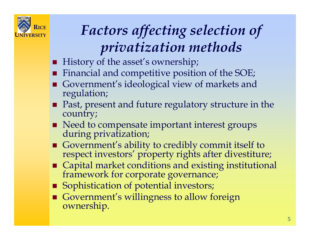

# *Factors affecting selection of privatization methods*

- History of the asset's ownership;
- Financial and competitive position of the SOE;
- Government's ideological view of markets and regulation;
- Past, present and future regulatory structure in the country;
- Need to compensate important interest groups during privatization;
- Government's ability to credibly commit itself to respect investors' property rights after divestiture;
- Capital market conditions and existing institutional framework for corporate governance;
- **Sophistication of potential investors;**
- Government's willingness to allow foreign ownership.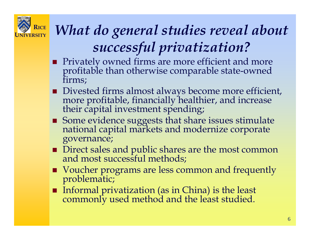

# *What do general studies reveal about successful privatization?*

- **Privately owned firms are more efficient and more profitable than otherwise comparable state-owned firms;**
- Divested firms almost always become more efficient, more profitable, financially healthier, and increase their capital investment spending;
- Some evidence suggests that share issues stimulate national capital markets and modernize corporate governance;
- Direct sales and public shares are the most common<br>and most successful methods;
- Voucher programs are less common and frequently problematic;
- Informal privatization (as in China) is the least commonly used method and the least studied.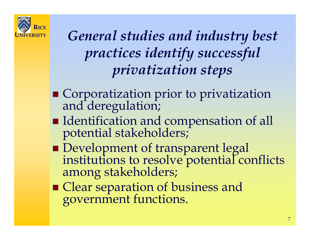

# *General studies and industry best practices identify successful privatization steps*

- Corporatization prior to privatization and deregulation;
- Identification and compensation of all potential stakeholders;
- **Development of transparent legal** institutions to resolve potential conflicts among stakeholders;
- Clear separation of business and government functions.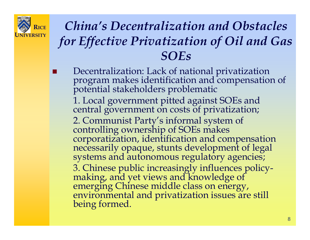

### *China's Decentralization and Obstacles for Effective Privatization of Oil and Gas SOEs*

 Decentralization: Lack of national privatization program makes identification and compensation of potential stakeholders problematic 1. Local government pitted against SOEs and central government on costs of privatization; 2. Communist Party's informal system of controlling ownership of SOEs makes corporatization, identification and compensation necessarily opaque, stunts development of legal systems and autonomous regulatory agencies; 3. Chinese public increasingly influences policy- making, and yet views and knowledge of emerging Chinese middle class on energy, environmental and privatization issues are still being formed.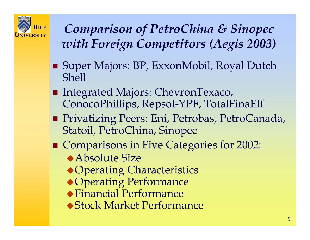

 *Comparison of PetroChina & Sinopec with Foreign Competitors (Aegis 2003)*

- Super Majors: BP, ExxonMobil, Royal Dutch Shell
- Integrated Majors: ChevronTexaco, ConocoPhillips, Repsol-YPF, TotalFinaElf
- Privatizing Peers: Eni, Petrobas, PetroCanada, Statoil, PetroChina, Sinopec
- **Comparisons in Five Categories for 2002:** Absolute Size
	- ◆ Operating Characteristics
	- Operating Performance
	- Financial Performance
	- Stock Market Performance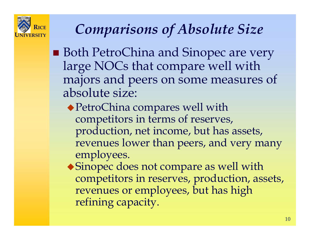

### *Comparisons of Absolute Size*

- Both PetroChina and Sinopec are very large NOCs that compare well with majors and peers on some measures of absolute size:
	- ◆ PetroChina compares well with competitors in terms of reserves, production, net income, but has assets, revenues lower than peers, and very many employees.
	- Sinopec does not compare as well with competitors in reserves, production, assets, revenues or employees, but has high refining capacity.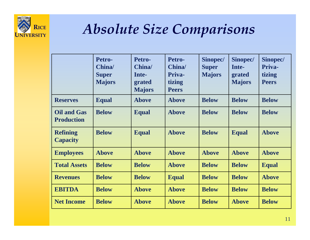

### *Absolute Size Comparisons*

|                                         | Petro-<br>China/<br><b>Super</b><br><b>Majors</b> | Petro-<br>China/<br>Inte-<br>grated<br><b>Majors</b> | Petro-<br>China/<br>Priva-<br>tizing<br><b>Peers</b> | Sinopec/<br><b>Super</b><br><b>Majors</b> | Sinopec/<br>Inte-<br>grated<br><b>Majors</b> | Sinopec/<br>Priva-<br>tizing<br><b>Peers</b> |
|-----------------------------------------|---------------------------------------------------|------------------------------------------------------|------------------------------------------------------|-------------------------------------------|----------------------------------------------|----------------------------------------------|
| <b>Reserves</b>                         | <b>Equal</b>                                      | <b>Above</b>                                         | <b>Above</b>                                         | <b>Below</b>                              | <b>Below</b>                                 | <b>Below</b>                                 |
| <b>Oil and Gas</b><br><b>Production</b> | <b>Below</b>                                      | <b>Equal</b>                                         | <b>Above</b>                                         | <b>Below</b>                              | <b>Below</b>                                 | <b>Below</b>                                 |
| <b>Refining</b><br><b>Capacity</b>      | <b>Below</b>                                      | <b>Equal</b>                                         | <b>Above</b>                                         | <b>Below</b>                              | <b>Equal</b>                                 | <b>Above</b>                                 |
| <b>Employees</b>                        | <b>Above</b>                                      | <b>Above</b>                                         | <b>Above</b>                                         | <b>Above</b>                              | <b>Above</b>                                 | <b>Above</b>                                 |
| <b>Total Assets</b>                     | <b>Below</b>                                      | <b>Below</b>                                         | <b>Above</b>                                         | <b>Below</b>                              | <b>Below</b>                                 | <b>Equal</b>                                 |
| <b>Revenues</b>                         | <b>Below</b>                                      | <b>Below</b>                                         | <b>Equal</b>                                         | <b>Below</b>                              | <b>Below</b>                                 | <b>Above</b>                                 |
| <b>EBITDA</b>                           | <b>Below</b>                                      | <b>Above</b>                                         | <b>Above</b>                                         | <b>Below</b>                              | <b>Below</b>                                 | <b>Below</b>                                 |
| <b>Net Income</b>                       | <b>Below</b>                                      | <b>Above</b>                                         | <b>Above</b>                                         | <b>Below</b>                              | <b>Above</b>                                 | <b>Below</b>                                 |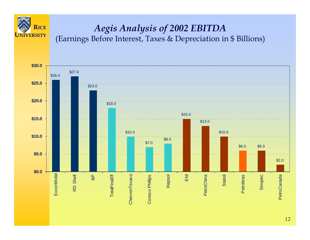

# *Aegis Analysis of 2002 EBITDA*<br>(Earnings Before Interest, Taxes & Depreciation in \$ Billions)

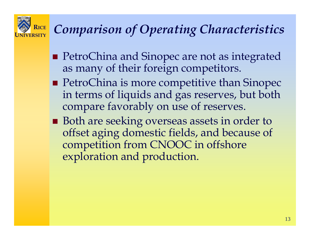

### *Comparison of Operating Characteristics*

- PetroChina and Sinopec are not as integrated as many of their foreign competitors.
- **PetroChina is more competitive than Sinopec** in terms of liquids and gas reserves, but both compare favorably on use of reserves.
- **Both are seeking overseas assets in order to** offset aging domestic fields, and because of competition from CNOOC in offshore exploration and production.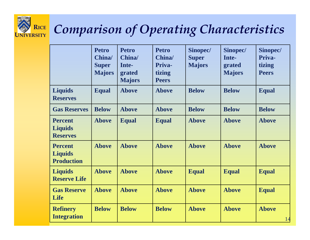

### **RICE UNIVERSITY** *Comparison of Operating Characteristics*

|                                                       | <b>Petro</b><br>China/<br><b>Super</b><br><b>Majors</b> | <b>Petro</b><br>China/<br>Inte-<br>grated<br><b>Majors</b> | <b>Petro</b><br>China/<br>Priva-<br>tizing<br><b>Peers</b> | Sinopec/<br><b>Super</b><br><b>Majors</b> | Sinopec/<br>Inte-<br>grated<br><b>Majors</b> | Sinopec/<br>Priva-<br>tizing<br><b>Peers</b> |
|-------------------------------------------------------|---------------------------------------------------------|------------------------------------------------------------|------------------------------------------------------------|-------------------------------------------|----------------------------------------------|----------------------------------------------|
| <b>Liquids</b><br><b>Reserves</b>                     | <b>Equal</b>                                            | <b>Above</b>                                               | <b>Above</b>                                               | <b>Below</b>                              | <b>Below</b>                                 | <b>Equal</b>                                 |
| <b>Gas Reserves</b>                                   | <b>Below</b>                                            | <b>Above</b>                                               | <b>Above</b>                                               | <b>Below</b>                              | <b>Below</b>                                 | <b>Below</b>                                 |
| <b>Percent</b><br><b>Liquids</b><br><b>Reserves</b>   | <b>Above</b>                                            | <b>Equal</b>                                               | <b>Equal</b>                                               | <b>Above</b>                              | <b>Above</b>                                 | <b>Above</b>                                 |
| <b>Percent</b><br><b>Liquids</b><br><b>Production</b> | <b>Above</b>                                            | <b>Above</b>                                               | <b>Above</b>                                               | <b>Above</b>                              | <b>Above</b>                                 | <b>Above</b>                                 |
| <b>Liquids</b><br><b>Reserve Life</b>                 | <b>Above</b>                                            | <b>Above</b>                                               | <b>Above</b>                                               | <b>Equal</b>                              | <b>Equal</b>                                 | <b>Equal</b>                                 |
| <b>Gas Reserve</b><br>Life                            | <b>Above</b>                                            | <b>Above</b>                                               | <b>Above</b>                                               | <b>Above</b>                              | <b>Above</b>                                 | <b>Equal</b>                                 |
| <b>Refinery</b><br><b>Integration</b>                 | <b>Below</b>                                            | <b>Below</b>                                               | <b>Below</b>                                               | <b>Above</b>                              | <b>Above</b>                                 | <b>Above</b><br>14                           |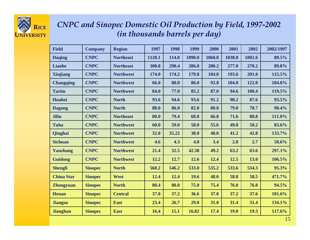

#### *CNPC and Sinopec Domestic Oil Production by Field, 1997-2002 (in thousands barrels per day)*

| <b>Field</b>      | <b>Company</b> | <b>Region</b>    | 1997   | 1998  | 1999   | 2000   | 2001        | 2002   | 2002/1997 |
|-------------------|----------------|------------------|--------|-------|--------|--------|-------------|--------|-----------|
| <b>Daqing</b>     | <b>CNPC</b>    | <b>Northeast</b> | 1120.1 | 114.0 | 1090.0 | 1060.0 | 1030.0      | 1002.6 | 89.5%     |
| <b>Liaohe</b>     | <b>CNPC</b>    | <b>Northeast</b> | 300.8  | 290.4 | 286.0  | 280.2  | 277.0       | 270.2  | 89.8%     |
| <b>Xinjiang</b>   | <b>CNPC</b>    | <b>Northwest</b> | 174.0  | 174.2 | 179.8  | 184.0  | 193.6       | 201.0  | 115.5%    |
| <b>Changqing</b>  | <b>CNPC</b>    | <b>Northwest</b> | 66.0   | 80.0  | 86.0   | 92.8   | 104.0       | 122.0  | 184.8%    |
| <b>Tarim</b>      | <b>CNPC</b>    | <b>Northwest</b> | 84.0   | 77.0  | 85.2   | 87.0   | 94.6        | 100.4  | 119.5%    |
| <b>Huabei</b>     | <b>CNPC</b>    | <b>North</b>     | 93.6   | 94.6  | 93.6   | 91.2   | 90.2        | 87.6   | 93.5%     |
| <b>Dagang</b>     | <b>CNPC</b>    | <b>North</b>     | 88.0   | 86.0  | 82.0   | 80.0   | 79.0        | 78.7   | 90.4%     |
| <b>Jilin</b>      | <b>CNPC</b>    | <b>Northeast</b> | 80.0   | 79.4  | 68.8   | 66.8   | 71.6        | 88.8   | 111.0%    |
| <b>Tuha</b>       | <b>CNPC</b>    | <b>Northwest</b> | 60.0   | 59.0  | 58.0   | 55.6   | 49.8        | 50.2   | 83.6%     |
| <b>Qinghai</b>    | <b>CNPC</b>    | <b>Northwest</b> | 32.0   | 35.22 | 38.0   | 40.0   | 41.2        | 42.8   | 133.7%    |
| <b>Sichuan</b>    | <b>CNPC</b>    | <b>Northwest</b> | 4.6    | 4.3   | 4.0    | 3.4    | 2.8         | 2.7    | 58.6%     |
| Yanzhang          | <b>CNPC</b>    | <b>Northwest</b> | 21.4   | 32.5  | 42.38  | 49.2   | 63.2        | 63.6   | 297.1%    |
| <b>Guidong</b>    | <b>CNPC</b>    | <b>Northwest</b> | 12.2   | 12.7  | 12.6   | 12.4   | 12.5        | 13.0   | 106.5%    |
| <b>Shengli</b>    | <b>Sinopec</b> | <b>North</b>     | 560.2  | 546.2 | 533.0  | 535.2  | 533.6       | 534.3  | 95.3%     |
| <b>China Star</b> | <b>Sinopec</b> | West             | 12.4   | 12.4  | 19.6   | 48.0   | 58.8        | 58.5   | 471.7%    |
| <b>Zhongyuan</b>  | <b>Sinopec</b> | <b>North</b>     | 80.4   | 80.0  | 75.0   | 75.4   | 76.0        | 76.0   | 94.5%     |
| <b>Henan</b>      | <b>Sinopec</b> | <b>Central</b>   | 37.0   | 37.2  | 36.6   | 37.0   | 37.2        | 37.6   | 101.6%    |
| <b>Jiangsu</b>    | <b>Sinopec</b> | <b>East</b>      | 23.4   | 26.7  | 29.0   | 31.0   | 31.4        | 31.4   | 134.1%    |
| <b>Jianghan</b>   | <b>Sinopec</b> | <b>East</b>      | 16.4   | 15.1  | 16.82  | 17.4   | <b>19.0</b> | 19.3   | 117.6%    |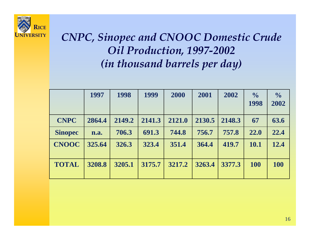

### *CNPC, Sinopec and CNOOC Domestic Crude Oil Production, 1997-2002 (in thousand barrels per day)*

|                | 1997   | 1998   | 1999   | 2000   | 2001   | 2002   | $\frac{0}{0}$<br>1998 | $\frac{0}{0}$<br>2002 |
|----------------|--------|--------|--------|--------|--------|--------|-----------------------|-----------------------|
| <b>CNPC</b>    | 2864.4 | 2149.2 | 2141.3 | 2121.0 | 2130.5 | 2148.3 | 67                    | 63.6                  |
|                |        |        |        |        |        |        |                       |                       |
| <b>Sinopec</b> | n.a.   | 706.3  | 691.3  | 744.8  | 756.7  | 757.8  | 22.0                  | 22.4                  |
| <b>CNOOC</b>   | 325.64 | 326.3  | 323.4  | 351.4  | 364.4  | 419.7  | 10.1                  | 12.4                  |
| <b>TOTAL</b>   | 3208.8 | 3205.1 | 3175.7 | 3217.2 | 3263.4 | 3377.3 | 100                   | <b>100</b>            |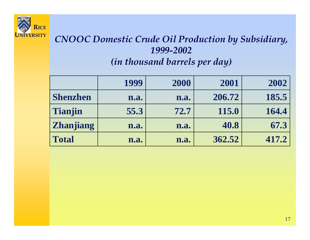

#### *CNOOC Domestic Crude Oil Production by Subsidiary, 1999-2002 (in thousand barrels per day)*

|                  | 1999 | 2000 | 2001   | 2002  |
|------------------|------|------|--------|-------|
| <b>Shenzhen</b>  | n.a. | n.a. | 206.72 | 185.5 |
| Tianjin          | 55.3 | 72.7 | 115.0  | 164.4 |
| <b>Zhanjiang</b> | n.a. | n.a. | 40.8   | 67.3  |
| <b>Total</b>     | n.a. | n.a. | 362.52 | 417.2 |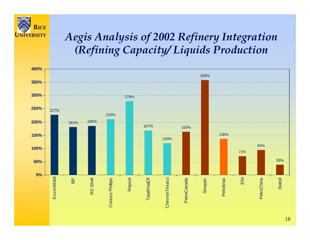

### *Aegis Analysis of 2002 Refinery Integration (Refining Capacity/ Liquids Production*

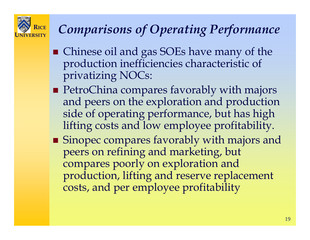

### *Comparisons of Operating Performance*

- Chinese oil and gas SOEs have many of the production inefficiencies characteristic of privatizing NOCs:
- **PetroChina compares favorably with majors** and peers on the exploration and production side of operating performance, but has high lifting costs and low employee profitability.
- Sinopec compares favorably with majors and peers on refining and marketing, but compares poorly on exploration and production, lifting and reserve replacement costs, and per employee profitability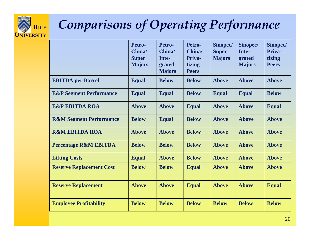

# *Comparisons of Operating Performance*

|                                    | Petro-<br>China/<br><b>Super</b><br><b>Majors</b> | Petro-<br>China/<br>Inte-<br>grated<br><b>Majors</b> | Petro-<br>China/<br>Priva-<br>tizing<br><b>Peers</b> | Sinopec/<br><b>Super</b><br><b>Majors</b> | <b>Sinopec/</b><br>Inte-<br>grated<br><b>Majors</b> | Sinopec/<br>Priva-<br>tizing<br><b>Peers</b> |
|------------------------------------|---------------------------------------------------|------------------------------------------------------|------------------------------------------------------|-------------------------------------------|-----------------------------------------------------|----------------------------------------------|
| <b>EBITDA</b> per Barrel           | <b>Equal</b>                                      | <b>Below</b>                                         | <b>Below</b>                                         | <b>Above</b>                              | <b>Above</b>                                        | <b>Above</b>                                 |
| <b>E&amp;P</b> Segment Performance | <b>Equal</b>                                      | <b>Equal</b>                                         | <b>Below</b>                                         | <b>Equal</b>                              | <b>Equal</b>                                        | <b>Below</b>                                 |
| <b>E&amp;P EBITDA ROA</b>          | <b>Above</b>                                      | <b>Above</b>                                         | <b>Equal</b>                                         | <b>Above</b>                              | <b>Above</b>                                        | <b>Equal</b>                                 |
| <b>R&amp;M Segment Performance</b> | <b>Below</b>                                      | <b>Equal</b>                                         | <b>Below</b>                                         | <b>Above</b>                              | <b>Above</b>                                        | <b>Above</b>                                 |
| <b>R&amp;M EBITDA ROA</b>          | <b>Above</b>                                      | <b>Above</b>                                         | <b>Below</b>                                         | <b>Above</b>                              | <b>Above</b>                                        | <b>Above</b>                                 |
| <b>Percentage R&amp;M EBITDA</b>   | <b>Below</b>                                      | <b>Below</b>                                         | <b>Below</b>                                         | <b>Above</b>                              | <b>Above</b>                                        | <b>Above</b>                                 |
| <b>Lifting Costs</b>               | <b>Equal</b>                                      | <b>Above</b>                                         | <b>Below</b>                                         | <b>Above</b>                              | <b>Above</b>                                        | <b>Above</b>                                 |
| <b>Reserve Replacement Cost</b>    | <b>Below</b>                                      | <b>Below</b>                                         | <b>Equal</b>                                         | <b>Above</b>                              | <b>Above</b>                                        | <b>Above</b>                                 |
| <b>Reserve Replacement</b>         | <b>Above</b>                                      | <b>Above</b>                                         | <b>Equal</b>                                         | <b>Above</b>                              | <b>Above</b>                                        | <b>Equal</b>                                 |
| <b>Employee Profitability</b>      | <b>Below</b>                                      | <b>Below</b>                                         | <b>Below</b>                                         | <b>Below</b>                              | <b>Below</b>                                        | <b>Below</b>                                 |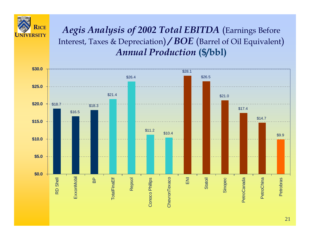

 *Aegis Analysis of 2002 Total EBITDA* (Earnings Before Interest, Taxes & Depreciation) */ BOE* (Barrel of Oil Equivalent) *Annual Production* **(\$/bbl)**

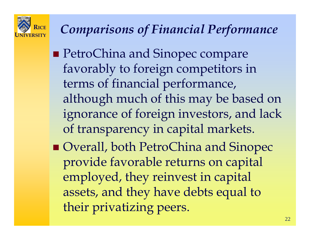

### *Comparisons of Financial Performance*

- **PetroChina and Sinopec compare** favorably to foreign competitors in terms of financial performance, although much of this may be based on ignorance of foreign investors, and lack of transparency in capital markets.
- Overall, both PetroChina and Sinopec provide favorable returns on capital employed, they reinvest in capital assets, and they have debts equal to their privatizing peers.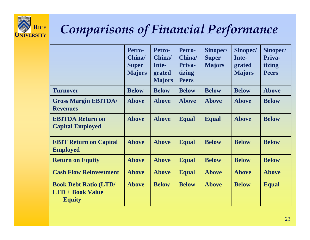

### *Comparisons of Financial Performance*

|                                                                          | Petro-<br>China/<br><b>Super</b><br><b>Majors</b> | Petro-<br>China/<br>Inte-<br>grated<br><b>Majors</b> | Petro-<br>China/<br>Priva-<br>tizing<br><b>Peers</b> | Sinopec/<br><b>Super</b><br><b>Majors</b> | Sinopec/<br>Inte-<br>grated<br><b>Majors</b> | Sinopec/<br>Priva-<br>tizing<br><b>Peers</b> |
|--------------------------------------------------------------------------|---------------------------------------------------|------------------------------------------------------|------------------------------------------------------|-------------------------------------------|----------------------------------------------|----------------------------------------------|
| <b>Turnover</b>                                                          | <b>Below</b>                                      | <b>Below</b>                                         | <b>Below</b>                                         | <b>Below</b>                              | <b>Below</b>                                 | <b>Above</b>                                 |
| <b>Gross Margin EBITDA/</b><br><b>Revenues</b>                           | <b>Above</b>                                      | <b>Above</b>                                         | <b>Above</b>                                         | <b>Above</b>                              | <b>Above</b>                                 | <b>Below</b>                                 |
| <b>EBITDA Return on</b><br><b>Capital Employed</b>                       | <b>Above</b>                                      | <b>Above</b>                                         | <b>Equal</b>                                         | <b>Equal</b>                              | <b>Above</b>                                 | <b>Below</b>                                 |
| <b>EBIT Return on Capital</b><br><b>Employed</b>                         | <b>Above</b>                                      | <b>Above</b>                                         | <b>Equal</b>                                         | <b>Below</b>                              | <b>Below</b>                                 | <b>Below</b>                                 |
| <b>Return on Equity</b>                                                  | <b>Above</b>                                      | <b>Above</b>                                         | <b>Equal</b>                                         | <b>Below</b>                              | <b>Below</b>                                 | <b>Below</b>                                 |
| <b>Cash Flow Reinvestment</b>                                            | <b>Above</b>                                      | <b>Above</b>                                         | <b>Equal</b>                                         | <b>Above</b>                              | <b>Above</b>                                 | <b>Above</b>                                 |
| <b>Book Debt Ratio (LTD/</b><br><b>LTD + Book Value</b><br><b>Equity</b> | <b>Above</b>                                      | <b>Below</b>                                         | <b>Below</b>                                         | <b>Above</b>                              | <b>Below</b>                                 | <b>Equal</b>                                 |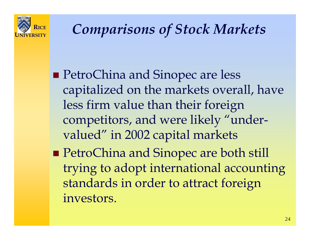

### *Comparisons of Stock Markets*

- **PetroChina and Sinopec are less** capitalized on the markets overall, have less firm value than their foreign competitors, and were likely "undervalued" in 2002 capital markets
- **PetroChina and Sinopec are both still** trying to adopt international accounting standards in order to attract foreign investors.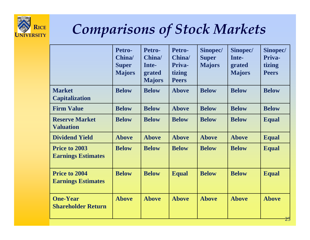

# *Comparisons of Stock Markets*

|                                              | Petro-<br>China/<br><b>Super</b><br><b>Majors</b> | Petro-<br>China/<br>Inte-<br>grated<br><b>Majors</b> | Petro-<br>China/<br>Priva-<br>tizing<br><b>Peers</b> | Sinopec/<br><b>Super</b><br><b>Majors</b> | Sinopec/<br>Inte-<br>grated<br><b>Majors</b> | Sinopec/<br>Priva-<br>tizing<br><b>Peers</b> |
|----------------------------------------------|---------------------------------------------------|------------------------------------------------------|------------------------------------------------------|-------------------------------------------|----------------------------------------------|----------------------------------------------|
| <b>Market</b><br><b>Capitalization</b>       | <b>Below</b>                                      | <b>Below</b>                                         | <b>Above</b>                                         | <b>Below</b>                              | <b>Below</b>                                 | <b>Below</b>                                 |
| <b>Firm Value</b>                            | <b>Below</b>                                      | <b>Below</b>                                         | <b>Above</b>                                         | <b>Below</b>                              | <b>Below</b>                                 | <b>Below</b>                                 |
| <b>Reserve Market</b><br><b>Valuation</b>    | <b>Below</b>                                      | <b>Below</b>                                         | <b>Below</b>                                         | <b>Below</b>                              | <b>Below</b>                                 | <b>Equal</b>                                 |
| <b>Dividend Yield</b>                        | <b>Above</b>                                      | <b>Above</b>                                         | <b>Above</b>                                         | <b>Above</b>                              | <b>Above</b>                                 | <b>Equal</b>                                 |
| Price to 2003<br><b>Earnings Estimates</b>   | <b>Below</b>                                      | <b>Below</b>                                         | <b>Below</b>                                         | <b>Below</b>                              | <b>Below</b>                                 | <b>Equal</b>                                 |
| Price to 2004<br><b>Earnings Estimates</b>   | <b>Below</b>                                      | <b>Below</b>                                         | <b>Equal</b>                                         | <b>Below</b>                              | <b>Below</b>                                 | <b>Equal</b>                                 |
| <b>One-Year</b><br><b>Shareholder Return</b> | <b>Above</b>                                      | <b>Above</b>                                         | <b>Above</b>                                         | <b>Above</b>                              | <b>Above</b>                                 | <b>Above</b><br>$\Omega$                     |